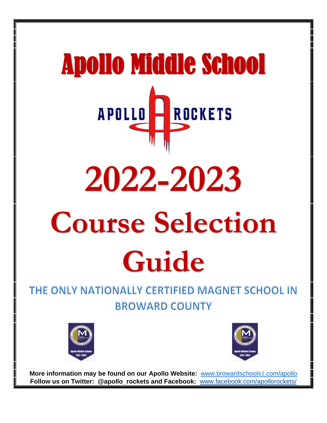# Apollo Middle School **APOLLO** ROCKETS **2022-2023 Course Selection Guide**

# THE ONLY NATIONALLY CERTIFIED MAGNET SCHOOL IN **BROWARD COUNTY**





**More information may be found on our Apollo Website:** [www.browardschools](http://www.browardschools1.com/apollo)1.com/apollo **Follow us on Twitter: @apollo\_rockets and Facebook:** [www.facebook.com/apollorockets/](http://www.facebook.com/apollorockets/)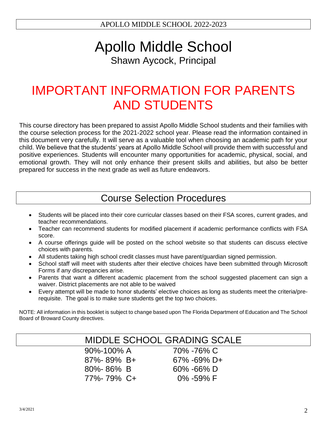# Apollo Middle School Shawn Aycock, Principal

# IMPORTANT INFORMATION FOR PARENTS AND STUDENTS

This course directory has been prepared to assist Apollo Middle School students and their families with the course selection process for the 2021-2022 school year. Please read the information contained in this document very carefully. It will serve as a valuable tool when choosing an academic path for your child. We believe that the students' years at Apollo Middle School will provide them with successful and positive experiences. Students will encounter many opportunities for academic, physical, social, and emotional growth. They will not only enhance their present skills and abilities, but also be better prepared for success in the next grade as well as future endeavors.

# Course Selection Procedures

- Students will be placed into their core curricular classes based on their FSA scores, current grades, and teacher recommendations.
- Teacher can recommend students for modified placement if academic performance conflicts with FSA score.
- A course offerings guide will be posted on the school website so that students can discuss elective choices with parents.
- All students taking high school credit classes must have parent/guardian signed permission.
- School staff will meet with students after their elective choices have been submitted through Microsoft Forms if any discrepancies arise.
- Parents that want a different academic placement from the school suggested placement can sign a waiver. District placements are not able to be waived
- Every attempt will be made to honor students' elective choices as long as students meet the criteria/prerequisite. The goal is to make sure students get the top two choices.

NOTE: All information in this booklet is subject to change based upon The Florida Department of Education and The School Board of Broward County directives.

|                  | MIDDLE SCHOOL GRADING SCALE |  |
|------------------|-----------------------------|--|
| 90%-100% A       | 70% -76% C                  |  |
| $87\% - 89\%$ B+ | $67\% - 69\%$ D+            |  |
| $80\% - 86\%$ B  | $60\% - 66\%$ D             |  |
| 77%-79% C+       | $0\%$ -59% F                |  |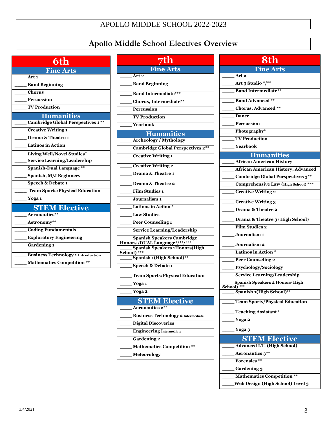# **Apollo Middle School Electives Overview**

# **6th**

| <b>Fine Arts</b>                                |  |  |
|-------------------------------------------------|--|--|
| Art <sub>1</sub>                                |  |  |
| <b>Band Beginning</b>                           |  |  |
| <b>Chorus</b>                                   |  |  |
| Percussion                                      |  |  |
| <b>TV Production</b>                            |  |  |
| <b>Humanities</b>                               |  |  |
| <b>Cambridge Global Perspectives 1</b><br>$***$ |  |  |
| <b>Creative Writing 1</b>                       |  |  |
| Drama & Theatre 1                               |  |  |
| <b>Latinos in Action</b>                        |  |  |
| Living Well/Novel Studies <sup>†</sup>          |  |  |
| <b>Service Learning/Leadership</b>              |  |  |
| <b>Spanish-Dual Language **</b>                 |  |  |
| Spanish, M/J Beginners                          |  |  |
| <b>Speech &amp; Debate 1</b>                    |  |  |
| <b>Team Sports/Physical Education</b>           |  |  |
| Yoga 1                                          |  |  |
| <b>STEM Elective</b>                            |  |  |
| Aeronautics**                                   |  |  |
| Astronomy**                                     |  |  |
| <b>Coding Fundamentals</b>                      |  |  |
| <b>Exploratory Engineering</b>                  |  |  |
| <b>Gardening 1</b>                              |  |  |
| <b>Business Technology 1 Introduction</b>       |  |  |
| <b>Mathematics Competition **</b>               |  |  |

| <b>7th</b>                                                         |  |  |
|--------------------------------------------------------------------|--|--|
| <b>Fine Arts</b>                                                   |  |  |
| Art 2                                                              |  |  |
| <b>Band Beginning</b>                                              |  |  |
| <b>Band Intermediate***</b>                                        |  |  |
| Chorus, Intermediate**                                             |  |  |
| <b>Percussion</b>                                                  |  |  |
| <b>TV Production</b>                                               |  |  |
| Yearbook                                                           |  |  |
| <b>Humanities</b>                                                  |  |  |
| <b>Archeology / Mythology</b>                                      |  |  |
| <b>Cambridge Global Perspectives 2**</b>                           |  |  |
| <b>Creative Writing 1</b>                                          |  |  |
| <b>Creative Writing 2</b>                                          |  |  |
| Drama & Theatre 1                                                  |  |  |
| Drama & Theatre 2                                                  |  |  |
| <b>Film Studies 1</b>                                              |  |  |
| Journalism <sub>1</sub>                                            |  |  |
| Latinos in Action *                                                |  |  |
| <b>Law Studies</b>                                                 |  |  |
| <b>Peer Counseling 1</b>                                           |  |  |
| <b>Service Learning/Leadership</b>                                 |  |  |
| <b>Spanish Speakers Cambridge</b><br>Honors /DUAL Language*/**/*** |  |  |
| <b>Spanish Speakers 1Honors(High</b>                               |  |  |
| School)<br>Spanish 1(High School)**                                |  |  |
| <b>Speech &amp; Debate 1</b>                                       |  |  |
|                                                                    |  |  |
| <b>Team Sports/Physical Education</b>                              |  |  |
| Yoga 1                                                             |  |  |
| Yoga 2                                                             |  |  |
| <b>STEM Elective</b>                                               |  |  |
| Aeronautics 2**                                                    |  |  |
| <b>Business Technology 2 Intermediate</b>                          |  |  |
| <b>Digital Discoveries</b>                                         |  |  |
| <b>Engineering Intermediate</b>                                    |  |  |
| <b>Gardening 2</b>                                                 |  |  |
| <b>Mathematics Competition **</b>                                  |  |  |
| <b>Meteorology</b>                                                 |  |  |
|                                                                    |  |  |

| 8th                                                                                   |  |  |  |
|---------------------------------------------------------------------------------------|--|--|--|
| <b>Fine Arts</b>                                                                      |  |  |  |
| Art <sub>2</sub>                                                                      |  |  |  |
| Art 3 Studio */**                                                                     |  |  |  |
| <b>Band Intermediate**</b>                                                            |  |  |  |
|                                                                                       |  |  |  |
| <b>Band Advanced</b> **                                                               |  |  |  |
| Chorus, Advanced **                                                                   |  |  |  |
| Dance                                                                                 |  |  |  |
| <b>Percussion</b>                                                                     |  |  |  |
| Photography*                                                                          |  |  |  |
| <b>TV Production</b>                                                                  |  |  |  |
| Yearbook                                                                              |  |  |  |
| <b>Humanities</b><br><b>African American History</b>                                  |  |  |  |
|                                                                                       |  |  |  |
| <b>African American History, Advanced</b><br><b>Cambridge Global Perspectives 3**</b> |  |  |  |
|                                                                                       |  |  |  |
| <b>Comprehensive Law (High School) ***</b>                                            |  |  |  |
| <b>Creative Writing 2</b>                                                             |  |  |  |
| <b>Creative Writing 3</b>                                                             |  |  |  |
| Drama & Theatre 2                                                                     |  |  |  |
| Drama & Theatre 3 (High School)                                                       |  |  |  |
| <b>Film Studies 2</b>                                                                 |  |  |  |
| Journalism <sub>1</sub>                                                               |  |  |  |
| Journalism <sub>2</sub>                                                               |  |  |  |
| Latinos in Action *                                                                   |  |  |  |
| <b>Peer Counseling 2</b>                                                              |  |  |  |
| Psychology/Sociology                                                                  |  |  |  |
| <b>Service Learning/Leadership</b>                                                    |  |  |  |
| <b>Spanish Speakers 2 Honors(High</b><br>Seho                                         |  |  |  |
| Spanish 1(High School)**                                                              |  |  |  |
| <b>Team Sports/Physical Education</b>                                                 |  |  |  |
| <b>Teaching Assistant*</b>                                                            |  |  |  |
| Yoga 2                                                                                |  |  |  |
| Yoga 3                                                                                |  |  |  |
| <b>STEM Elective</b>                                                                  |  |  |  |
| <b>Advanced I.T. (High School)</b>                                                    |  |  |  |
| Aeronautics 3**                                                                       |  |  |  |
| Forensics <sup>**</sup>                                                               |  |  |  |
| <b>Gardening 3</b>                                                                    |  |  |  |
| <b>Mathematics Competition **</b>                                                     |  |  |  |
| Web Design (High School) Level 3                                                      |  |  |  |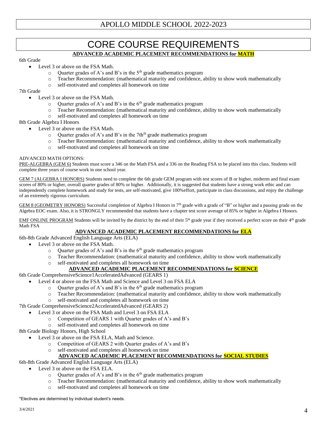# CORE COURSE REQUIREMENTS **ADVANCED ACADEMIC PLACEMENT RECOMMENDATIONS for MATH**

#### 6th Grade

- Level 3 or above on the FSA Math.
	- $\circ$  Quarter grades of A's and B's in the 5<sup>th</sup> grade mathematics program
	- o Teacher Recommendation: (mathematical maturity and confidence, ability to show work mathematically
	- o self-motivated and completes all homework on time

#### 7th Grade

- Level 3 or above on the FSA Math.
	- $\circ$  Quarter grades of A's and B's in the 6<sup>th</sup> grade mathematics program
	- o Teacher Recommendation: (mathematical maturity and confidence, ability to show work mathematically
	- o self-motivated and completes all homework on time

#### 8th Grade Algebra I Honors

- Level 3 or above on the FSA Math.
	- $\circ$  Quarter grades of A's and B's in the 7th<sup>th</sup> grade mathematics program
	- o Teacher Recommendation: (mathematical maturity and confidence, ability to show work mathematically
	- o self-motivated and completes all homework on time

#### ADVANCED MATH OPTIONS:

PRE-ALGEBRA (GEM 6) Students must score a 346 on the Math FSA and a 336 on the Reading FSA to be placed into this class. Students will complete three years of course work in one school year.

GEM 7 (ALGEBRA I HONORS) Students need to complete the 6th grade GEM program with test scores of B or higher, midterm and final exam scores of 80% or higher, overall quarter grades of 80% or higher. Additionally, it is suggested that students have a strong work ethic and can independently complete homework and study for tests, are self-motivated, give 100%effort, participate in class discussions, and enjoy the challenge of an extremely rigorous curriculum.

GEM 8 (GEOMETRY HONORS) Successful completion of Algebra I Honors in 7th grade with a grade of "B" or higher and a passing grade on the Algebra EOC exam. Also, it is STRONGLY recommended that students have a chapter test score average of 85% or higher in Algebra I Honors.

EMF ONLINE PROGRAM Students will be invited by the district by the end of their  $5<sup>th</sup>$  grade year if they received a perfect score on their  $4<sup>th</sup>$  grade Math FSA

#### **ADVANCED ACADEMIC PLACEMENT RECOMMENDATIONS for ELA**

- 6th-8th Grade Advanced English Language Arts (ELA)
	- Level 3 or above on the FSA Math.
		- $\circ$  Quarter grades of A's and B's in the 6<sup>th</sup> grade mathematics program
		- o Teacher Recommendation: (mathematical maturity and confidence, ability to show work mathematically
		- o self-motivated and completes all homework on time

#### **ADVANCED ACADEMIC PLACEMENT RECOMMENDATIONS for SCIENCE**

6th Grade ComprehensiveScience1AcceleratedAdvanced (GEARS 1)

- Level 4 or above on the FSA Math and Science and Level 3 on FSA ELA
	- $\circ$  Quarter grades of A's and B's in the 6<sup>th</sup> grade mathematics program
	- o Teacher Recommendation: (mathematical maturity and confidence, ability to show work mathematically
	- o self-motivated and completes all homework on time
- 7th Grade ComprehensiveScience2AcceleratedAdvanced (GEARS 2)
	- Level 3 or above on the FSA Math and Level 3 on FSA ELA
		- o Competition of GEARS 1 with Quarter grades of A's and B's
		- o self-motivated and completes all homework on time

#### 8th Grade Biology Honors, High School

- Level 3 or above on the FSA ELA, Math and Science.
	- o Competition of GEARS 2 with Quarter grades of A's and B's
	- o self-motivated and completes all homework on time

#### **ADVANCED ACADEMIC PLACEMENT RECOMMENDATIONS for SOCIAL STUDIES**

- 6th-8th Grade Advanced English Language Arts (ELA)
	- Level 3 or above on the FSA ELA.
		- $\circ$  Quarter grades of A's and B's in the 6<sup>th</sup> grade mathematics program
		- o Teacher Recommendation: (mathematical maturity and confidence, ability to show work mathematically
		- o self-motivated and completes all homework on time

\*Electives are determined by individual student's needs.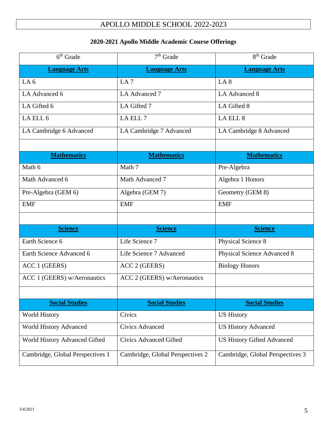## **2020-2021 Apollo Middle Academic Course Offerings**

| $6th$ Grade                      | $\overline{7^{th}}$ Grade        | 8 <sup>th</sup> Grade             |
|----------------------------------|----------------------------------|-----------------------------------|
| <b>Language Arts</b>             | <b>Language Arts</b>             | <b>Language Arts</b>              |
| LA <sub>6</sub>                  | LA <sub>7</sub>                  | LA 8                              |
| LA Advanced 6                    | LA Advanced 7                    | LA Advanced 8                     |
| LA Gifted 6                      | LA Gifted 7                      | LA Gifted 8                       |
| LA ELL 6                         | LA ELL 7                         | LA ELL 8                          |
| LA Cambridge 6 Advanced          | LA Cambridge 7 Advanced          | LA Cambridge 8 Advanced           |
|                                  |                                  |                                   |
| <b>Mathematics</b>               | <b>Mathematics</b>               | <b>Mathematics</b>                |
| Math 6                           | Math 7                           | Pre-Algebra                       |
| Math Advanced 6                  | Math Advanced 7                  | Algebra 1 Honors                  |
| Pre-Algebra (GEM 6)              | Algebra (GEM 7)                  | Geometry (GEM 8)                  |
| <b>EMF</b>                       | <b>EMF</b>                       | <b>EMF</b>                        |
|                                  |                                  |                                   |
| <b>Science</b>                   | <b>Science</b>                   | <b>Science</b>                    |
| Earth Science 6                  | Life Science 7                   | Physical Science 8                |
| Earth Science Advanced 6         | Life Science 7 Advanced          | Physical Science Advanced 8       |
| ACC 1 (GEERS)                    | ACC 2 (GEERS)                    | <b>Biology Honors</b>             |
| ACC 1 (GEERS) w/Aeronautics      | ACC 2 (GEERS) w/Aeronautics      |                                   |
|                                  |                                  |                                   |
| <b>Social Studies</b>            | <b>Social Studies</b>            | <b>Social Studies</b>             |
| <b>World History</b>             | Civics                           | <b>US History</b>                 |
| <b>World History Advanced</b>    | <b>Civics Advanced</b>           | <b>US History Advanced</b>        |
| World History Advanced Gifted    | <b>Civics Advanced Gifted</b>    | <b>US History Gifted Advanced</b> |
| Cambridge, Global Perspectives 1 | Cambridge, Global Perspectives 2 | Cambridge, Global Perspectives 3  |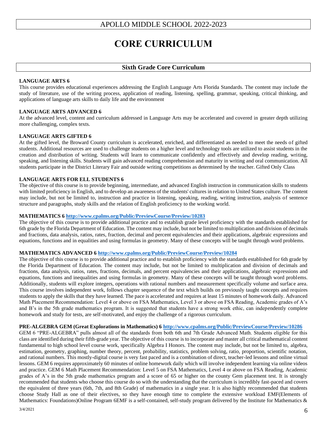# **CORE CURRICULUM**

#### **Sixth Grade Core Curriculum**

#### **LANGUAGE ARTS 6**

This course provides educational experiences addressing the English Language Arts Florida Standards. The content may include the study of literature, use of the writing process, application of reading, listening, spelling, grammar, speaking, critical thinking, and applications of language arts skills to daily life and the environment

#### **LANGUAGE ARTS ADVANCED 6**

At the advanced level, content and curriculum addressed in Language Arts may be accelerated and covered in greater depth utilizing more challenging, complex texts.

#### **LANGUAGE ARTS GIFTED 6**

At the gifted level, the Broward County curriculum is accelerated, enriched, and differentiated as needed to meet the needs of gifted students. Additional resources are used to challenge students on a higher level and technology tools are utilized to assist students in the creation and distribution of writing. Students will learn to communicate confidently and effectively and develop reading, writing, speaking, and listening skills. Students will gain advanced reading comprehension and maturity in writing and oral communication. All students participate in the District Literary Fair and outside writing competitions as determined by the teacher. Gifted Only Class

#### **LANGUAGE ARTS FOR ELL STUDENTS 6**

The objective of this course is to provide beginning, intermediate, and advanced English instruction in communication skills to students with limited proficiency in English, and to develop an awareness of the students' cultures in relation to United States culture. The content may include, but not be limited to, instruction and practice in listening, speaking, reading, writing instruction, analysis of sentence structure and paragraphs, study skills and the relation of English proficiency to the working world.

#### **MATHEMATICS 6 <http://www.cpalms.org/Public/PreviewCourse/Preview/10283>**

The objective of this course is to provide additional practice and to establish grade level proficiency with the standards established for 6th grade by the Florida Department of Education. The content may include, but not be limited to multiplication and division of decimals and fractions, data analysis, ratios, rates, fraction, decimal and percent equivalencies and their applications, algebraic expressions and equations, functions and in equalities and using formulas in geometry. Many of these concepts will be taught through word problems.

#### **MATHEMATICS ADVANCED 6 <http://www.cpalms.org/Public/PreviewCourse/Preview/10284>**

The objective of this course is to provide additional practice and to establish proficiency with the standards established for 6th grade by the Florida Department of Education. The content may include, but not be limited to multiplication and division of decimals and fractions, data analysis, ratios, rates, fractions, decimals, and percent equivalencies and their applications, algebraic expressions and equations, functions and inequalities and using formulas in geometry. Many of these concepts will be taught through word problems. Additionally, students will explore integers, operations with rational numbers and measurement specifically volume and surface area. This course involves independent work, follows chapter sequence of the text which builds on previously taught concepts and requires students to apply the skills that they have learned. The pace is accelerated and requires at least 15 minutes of homework daily. Advanced Math Placement Recommendation: Level 4 or above on FSA Mathematics, Level 3 or above on FSA Reading, Academic grades of A's and B's in the 5th grade mathematics program. It is suggested that students have a strong work ethic, can independently complete homework and study for tests, are self-motivated, and enjoy the challenge of a rigorous curriculum.

#### **PRE-ALGEBRA GEM (Great Explorations in Mathematics) 6<http://www.cpalms.org/Public/PreviewCourse/Preview/10286>**

GEM 6 "PRE-ALGEBRA" pulls almost all of the standards from both 6th and 7th Grade Advanced Math. Students eligible for this class are identified during their fifth-grade year. The objective of this course is to incorporate and master all critical mathematical content fundamental to high school level course work, specifically Algebra I Honors. The content may include, but not be limited to, algebra, estimation, geometry, graphing, number theory, percent, probability, statistics, problem solving, ratio, proportion, scientific notation, and rational numbers. This mostly-digital course is very fast paced and is a combination of direct, teacher-led lessons and online virtual lessons. GEM 6 requires approximately 60 minutes of online homework daily which will involve independent learning via online videos and practice. GEM 6 Math Placement Recommendation: Level 5 on FSA Mathematics, Level 4 or above on FSA Reading, Academic grades of A's in the 5th grade mathematics program and a score of 65 or higher on the county Gem placement test. It is strongly recommended that students who choose this course do so with the understanding that the curriculum is incredibly fast-paced and covers the equivalent of three years (6th, 7th, and 8th Grade) of mathematics in a single year. It is also highly recommended that students choose Study Hall as one of their electives, so they have enough time to complete the extensive workload EMF(Elements of Mathematics: Foundations)Online Program 6EMF is a self-contained, self-study program delivered by the Institute for Mathematics  $\&$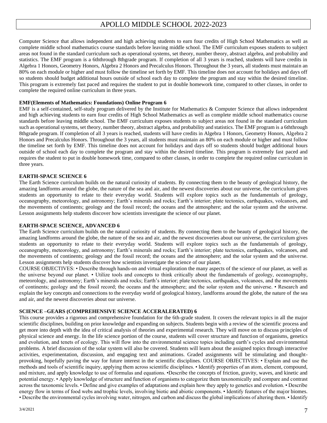Computer Science that allows independent and high achieving students to earn four credits of High School Mathematics as well as complete middle school mathematics course standards before leaving middle school. The EMF curriculum exposes students to subject areas not found in the standard curriculum such as operational systems, set theory, number theory, abstract algebra, and probability and statistics. The EMF program is a 6ththrough 8thgrade program. If completion of all 3 years is reached, students will have credits in Algebra 1 Honors, Geometry Honors, Algebra 2 Honors and Precalculus Honors. Throughout the 3 years, all students must maintain an 80% on each module or higher and must follow the timeline set forth by EMF. This timeline does not account for holidays and days off so students should budget additional hours outside of school each day to complete the program and stay within the desired timeline. This program is extremely fast paced and requires the student to put in double homework time, compared to other classes, in order to complete the required online curriculum in three years.

#### **EMF(Elements of Mathematics: Foundations) Online Program 6**

EMF is a self-contained, self-study program delivered by the Institute for Mathematics & Computer Science that allows independent and high achieving students to earn four credits of High School Mathematics as well as complete middle school mathematics course standards before leaving middle school. The EMF curriculum exposes students to subject areas not found in the standard curriculum such as operational systems, set theory, number theory, abstract algebra, and probability and statistics. The EMF program is a 6ththrough 8thgrade program. If completion of all 3 years is reached, students will have credits in Algebra 1 Honors, Geometry Honors, Algebra 2 Honors and Precalculus Honors. Throughout the 3 years, all students must maintain an 80% on each module or higher and must follow the timeline set forth by EMF. This timeline does not account for holidays and days off so students should budget additional hours outside of school each day to complete the program and stay within the desired timeline. This program is extremely fast paced and requires the student to put in double homework time, compared to other classes, in order to complete the required online curriculum in three years.

#### **EARTH-SPACE SCIENCE 6**

The Earth Science curriculum builds on the natural curiosity of students. By connecting them to the beauty of geological history, the amazing landforms around the globe, the nature of the sea and air, and the newest discoveries about our universe, the curriculum gives students an opportunity to relate to their everyday world. Students will explore topics such as the fundamentals of geology, oceanography, meteorology, and astronomy; Earth's minerals and rocks; Earth's interior; plate tectonics, earthquakes, volcanoes, and the movements of continents; geology and the fossil record; the oceans and the atmosphere; and the solar system and the universe. Lesson assignments help students discover how scientists investigate the science of our planet.

#### **EARTH-SPACE SCIENCE, ADVANCED 6**

The Earth Science curriculum builds on the natural curiosity of students. By connecting them to the beauty of geological history, the amazing landforms around the globe, the nature of the sea and air, and the newest discoveries about our universe, the curriculum gives students an opportunity to relate to their everyday world. Students will explore topics such as the fundamentals of geology, oceanography, meteorology, and astronomy; Earth's minerals and rocks; Earth's interior; plate tectonics, earthquakes, volcanoes, and the movements of continents; geology and the fossil record; the oceans and the atmosphere; and the solar system and the universe. Lesson assignments help students discover how scientists investigate the science of our planet.

COURSE OBJECTIVES: • Describe through hands-on and virtual exploration the many aspects of the science of our planet, as well as the universe beyond our planet. • Utilize tools and concepts to think critically about the fundamentals of geology, oceanography, meteorology, and astronomy; Earth's minerals and rocks; Earth's interior; plate tectonics, earthquakes, volcanoes, and the movements of continents; geology and the fossil record; the oceans and the atmosphere; and the solar system and the universe. • Research and explain the key concepts and connections to the everyday world of geological history, landforms around the globe, the nature of the sea and air, and the newest discoveries about our universe.

#### **SCIENCE –GEARS (COMPREHENSIVE SCIENCE ACCERALERATED) 6**

This course provides a rigorous and comprehensive foundation for the 6th-grade student. It covers the relevant topics in all the major scientific disciplines, building on prior knowledge and expanding on subjects. Students begin with a review of the scientific process and get more into depth with the idea of critical analysis of theories and experimental research. They will move on to discuss principles of physical science and energy. In the life science portion of the course, students will cover structure and function of organisms, genetics and evolution, and tenets of ecology. This will flow into the environmental science topics including earth's cycles and environmental problems. A brief discussion of the solar system will also be covered. Students will learn about the assigned topics through interactive activities, experimentation, discussion, and engaging text and animations. Graded assignments will be stimulating and thoughtprovoking, hopefully paving the way for future interest in the scientific disciplines. COURSE OBJECTIVES: • Explain and use the methods and tools of scientific inquiry, applying them across scientific disciplines. • Identify properties of an atom, element, compound, and mixture, and apply knowledge to use of formulas and equations. •Describe the concepts of friction, gravity, waves, and kinetic and potential energy. • Apply knowledge of structure and function of organisms to categorize them taxonomically and compare and contrast across the taxonomic levels. • Define and give examples of adaptations and explain how they apply to genetics and evolution. • Describe energy flow in terms of food webs and trophic levels, involving biotic and abiotic components. • Identify features of the major biomes. • Describe the environmental cycles involving water, nitrogen, and carbon and discuss the global implications of altering them. • Identify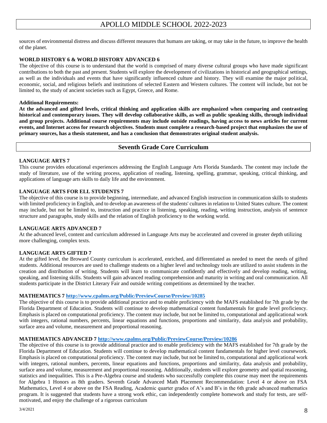sources of environmental distress and discuss different measures that humans are taking, or may take in the future, to improve the health of the planet.

#### **WORLD HISTORY 6 & WORLD HISTORY ADVANCED 6**

The objective of this course is to understand that the world is comprised of many diverse cultural groups who have made significant contributions to both the past and present. Students will explore the development of civilizations in historical and geographical settings, as well as the individuals and events that have significantly influenced culture and history. They will examine the major political, economic, social, and religious beliefs and institutions of selected Eastern and Western cultures. The content will include, but not be limited to, the study of ancient societies such as Egypt, Greece, and Rome.

#### **Additional Requirements:**

**At the advanced and gifted levels, critical thinking and application skills are emphasized when comparing and contrasting historical and contemporary issues. They will develop collaborative skills, as well as public speaking skills, through individual and group projects. Additional course requirements may include outside readings, having access to news articles for current events, and Internet access for research objectives. Students must complete a research-based project that emphasizes the use of primary sources, has a thesis statement, and has a conclusion that demonstrates original student analysis.** 

#### **Seventh Grade Core Curriculum**

#### **LANGUAGE ARTS 7**

This course provides educational experiences addressing the English Language Arts Florida Standards. The content may include the study of literature, use of the writing process, application of reading, listening, spelling, grammar, speaking, critical thinking, and applications of language arts skills to daily life and the environment.

#### **LANGUAGE ARTS FOR ELL STUDENTS 7**

The objective of this course is to provide beginning, intermediate, and advanced English instruction in communication skills to students with limited proficiency in English, and to develop an awareness of the students' cultures in relation to United States culture. The content may include, but not be limited to, instruction and practice in listening, speaking, reading, writing instruction, analysis of sentence structure and paragraphs, study skills and the relation of English proficiency to the working world.

#### **LANGUAGE ARTS ADVANCED 7**

At the advanced level, content and curriculum addressed in Language Arts may be accelerated and covered in greater depth utilizing more challenging, complex texts.

#### **LANGUAGE ARTS GIFTED 7**

At the gifted level, the Broward County curriculum is accelerated, enriched, and differentiated as needed to meet the needs of gifted students. Additional resources are used to challenge students on a higher level and technology tools are utilized to assist students in the creation and distribution of writing. Students will learn to communicate confidently and effectively and develop reading, writing, speaking, and listening skills. Students will gain advanced reading comprehension and maturity in writing and oral communication. All students participate in the District Literary Fair and outside writing competitions as determined by the teacher.

#### **MATHEMATICS 7 <http://www.cpalms.org/Public/PreviewCourse/Preview/10285>**

The objective of this course is to provide additional practice and to enable proficiency with the MAFS established for 7th grade by the Florida Department of Education. Students will continue to develop mathematical content fundamentals for grade level proficiency. Emphasis is placed on computational proficiency. The content may include, but not be limited to, computational and applicational work with integers, rational numbers, percents, linear equations and functions, proportions and similarity, data analysis and probability, surface area and volume, measurement and proportional reasoning.

#### **MATHEMATICS ADVANCED 7 <http://www.cpalms.org/Public/PreviewCourse/Preview/10286>**

The objective of this course is to provide additional practice and to enable proficiency with the MAFS established for 7th grade by the Florida Department of Education. Students will continue to develop mathematical content fundamentals for higher level coursework. Emphasis is placed on computational proficiency. The content may include, but not be limited to, computational and applicational work with integers, rational numbers, percents, linear equations and functions, proportions and similarity, data analysis and probability, surface area and volume, measurement and proportional reasoning. Additionally, students will explore geometry and spatial reasoning, statistics and inequalities. This is a Pre-Algebra course and students who successfully complete this course may meet the requirements for Algebra 1 Honors as 8th graders. Seventh Grade Advanced Math Placement Recommendation: Level 4 or above on FSA Mathematics, Level 4 or above on the FSA Reading, Academic quarter grades of A's and B's in the 6th grade advanced mathematics program. It is suggested that students have a strong work ethic, can independently complete homework and study for tests, are selfmotivated, and enjoy the challenge of a rigorous curriculum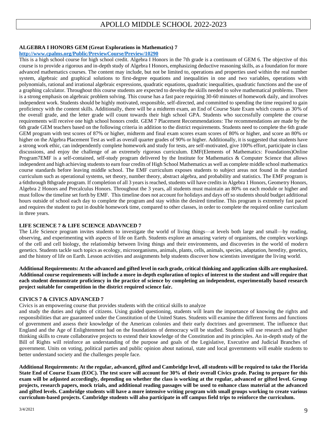#### **ALGEBRA I HONORS GEM (Great Explorations in Mathematics) 7**

#### **<http://www.cpalms.org/Public/PreviewCourse/Preview/10290>**

This is a high school course for high school credit. Algebra I Honors in the 7th grade is a continuum of GEM 6. The objective of this course is to provide a rigorous and in-depth study of Algebra I Honors, emphasizing deductive reasoning skills, as a foundation for more advanced mathematics courses. The content may include, but not be limited to, operations and properties used within the real number system, algebraic and graphical solutions to first-degree equations and inequalities in one and two variables, operations with polynomials, rational and irrational algebraic expressions, quadratic equations, quadratic inequalities, quadratic functions and the use of a graphing calculator. Throughout this course students are expected to develop the skills needed to solve mathematical problems. There is a strong emphasis on algebraic problem solving. This course has a fast pace requiring 30-60 minutes of homework daily, and involves independent work. Students should be highly motivated, responsible, self-directed, and committed to spending the time required to gain proficiency with the content skills. Additionally, there will be a midterm exam, an End of Course State Exam which counts as 30% of the overall grade, and the letter grade will count towards their high school GPA. Students who successfully complete the course requirements will receive one high school honors credit. GEM 7 Placement Recommendations: The recommendations are made by the 6th grade GEM teachers based on the following criteria in addition to the district requirements. Students need to complete the 6th grade GEM program with test scores of 87% or higher, midterm and final exam scores exam scores of 80% or higher, and score an 80% or higher on the Algebra Placement Test as well as overall quarter grades of 90% or higher. Additionally, it is suggested that students have a strong work ethic, can independently complete homework and study for tests, are self-motivated, give 100% effort, participate in class discussions, and enjoy the challenge of an extremely rigorous curriculum. EMF(Elements of Mathematics: Foundations)Online Program7EMF is a self-contained, self-study program delivered by the Institute for Mathematics & Computer Science that allows independent and high achieving students to earn four credits of High School Mathematics as well as complete middle school mathematics course standards before leaving middle school. The EMF curriculum exposes students to subject areas not found in the standard curriculum such as operational systems, set theory, number theory, abstract algebra, and probability and statistics. The EMF program is a 6ththrough 8thgrade program. If completion of all 3 years is reached, students will have credits in Algebra 1 Honors, Geometry Honors, Algebra 2 Honors and Precalculus Honors. Throughout the 3 years, all students must maintain an 80% on each module or higher and must follow the timeline set forth by EMF. This timeline does not account for holidays and days off so students should budget additional hours outside of school each day to complete the program and stay within the desired timeline. This program is extremely fast paced and requires the student to put in double homework time, compared to other classes, in order to complete the required online curriculum in three years.

#### **LIFE SCIENCE 7 & LIFE SCIENCE ADAVNCED 7**

The Life Science program invites students to investigate the world of living things—at levels both large and small—by reading, observing, and experimenting with aspects of life on Earth. Students explore an amazing variety of organisms, the complex workings of the cell and cell biology, the relationship between living things and their environments, and discoveries in the world of modern genetics. Students tackle such topics as ecology, microorganisms, animals, plants, cells, animals, species, adaptation, heredity, genetics, and the history of life on Earth. Lesson activities and assignments help students discover how scientists investigate the living world.

**Additional Requirements: At the advanced and gifted level in each grade, critical thinking and application skills are emphasized. Additional course requirements will include a more in-depth exploration of topics of interest to the student and will require that each student demonstrate proficiency in the practice of science by completing an independent, experimentally based research project suitable for competition in the district required science fair.** 

#### **CIVICS 7 & CIVICS ADVANCED 7**

Civics is an empowering course that provides students with the critical skills to analyze

and study the duties and rights of citizens. Using guided questioning, students will learn the importance of knowing the rights and responsibilities that are guaranteed under the Constitution of the United States. Students will examine the different forms and functions of government and assess their knowledge of the American colonies and their early doctrines and government. The influence that England and the Age of Enlightenment had on the foundations of democracy will be studied. Students will use research and higher thinking skills to create collaborative projects to extend their knowledge of the Constitution and its principles. An in-depth study of the Bill of Rights will reinforce an understanding of the purpose and goals of the Legislative, Executive and Judicial Branches of government. Units on voting, political parties and public opinion about national, state and local governments will enable students to better understand society and the challenges people face.

**Additional Requirements: At the regular, advanced, gifted and Cambridge level, all students will be required to take the Florida State End of Course Exam (EOC). The test score will account for 30% of their overall Civics grade. Pacing to prepare for this exam will be adjusted accordingly, depending on whether the class is working at the regular, advanced or gifted level. Group projects, research papers, mock trials, and additional reading passages will be used to enhance class material at the advanced and gifted levels. Cambridge students will have a more intensive writing program with small groups working to create various curriculum-based projects. Cambridge students will also participate in off campus field trips to reinforce the curriculum.**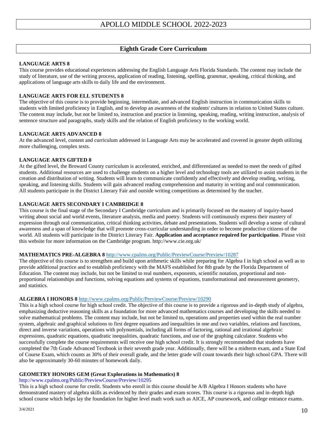## **Eighth Grade Core Curriculum**

#### **LANGUAGE ARTS 8**

This course provides educational experiences addressing the English Language Arts Florida Standards. The content may include the study of literature, use of the writing process, application of reading, listening, spelling, grammar, speaking, critical thinking, and applications of language arts skills to daily life and the environment.

#### **LANGUAGE ARTS FOR ELL STUDENTS 8**

The objective of this course is to provide beginning, intermediate, and advanced English instruction in communication skills to students with limited proficiency in English, and to develop an awareness of the students' cultures in relation to United States culture. The content may include, but not be limited to, instruction and practice in listening, speaking, reading, writing instruction, analysis of sentence structure and paragraphs, study skills and the relation of English proficiency to the working world.

#### **LANGUAGE ARTS ADVANCED 8**

At the advanced level, content and curriculum addressed in Language Arts may be accelerated and covered in greater depth utilizing more challenging, complex texts.

#### **LANGUAGE ARTS GIFTED 8**

At the gifted level, the Broward County curriculum is accelerated, enriched, and differentiated as needed to meet the needs of gifted students. Additional resources are used to challenge students on a higher level and technology tools are utilized to assist students in the creation and distribution of writing. Students will learn to communicate confidently and effectively and develop reading, writing, speaking, and listening skills. Students will gain advanced reading comprehension and maturity in writing and oral communication. All students participate in the District Literary Fair and outside writing competitions as determined by the teacher.

#### **LANGUAGE ARTS SECONDARY I CAMBRIDGE 8**

This course is the final stage of the Secondary I Cambridge curriculum and is primarily focused on the mastery of inquiry-based writing about social and world events, literature analysis, media and poetry. Students will continuously express their mastery of expression through oral communication, critical thinking activities, debate and presentations. Students will develop a sense of cultural awareness and a span of knowledge that will promote cross-curricular understanding in order to become productive citizens of the world. All students will participate in the District Literary Fair. **Application and acceptance required for participation**. Please visit this website for more information on the Cambridge program. http://www.cie.org.uk/

#### **MATHEMATICS PRE-ALGEBRA 8** <http://www.cpalms.org/Public/PreviewCourse/Preview/10287>

The objective of this course is to strengthen and build upon arithmetic skills while preparing for Algebra I in high school as well as to provide additional practice and to establish proficiency with the MAFS established for 8th grade by the Florida Department of Education. The content may include, but not be limited to real numbers, exponents, scientific notation, proportional and nonproportional relationships and functions, solving equations and systems of equations, transformational and measurement geometry, and statistics.

#### **ALGEBRA I HONORS 8** <http://www.cpalms.org/Public/PreviewCourse/Preview/10290>

This is a high school course for high school credit. The objective of this course is to provide a rigorous and in-depth study of algebra, emphasizing deductive reasoning skills as a foundation for more advanced mathematics courses and developing the skills needed to solve mathematical problems. The content may include, but not be limited to, operations and properties used within the real number system, algebraic and graphical solutions to first degree equations and inequalities in one and two variables, relations and functions, direct and inverse variations, operations with polynomials, including all forms of factoring, rational and irrational algebraic expressions, quadratic equations, quadratic inequalities, quadratic functions, and use of the graphing calculator. Students who successfully complete the course requirements will receive one high school credit. It is strongly recommended that students have completed the 7th Grade Advanced Textbook in their seventh grade year. Additionally, there will be a midterm exam, and a State End of Course Exam, which counts as 30% of their overall grade, and the letter grade will count towards their high school GPA. There will also be approximately 30-60 minutes of homework daily.

#### **GEOMETRY HONORS GEM (Great Explorations in Mathematics) 8**

#### http://www.cpalms.org/Public/PreviewCourse/Preview/10295

This is a high school course for credit. Students who enroll in this course should be A/B Algebra I Honors students who have demonstrated mastery of algebra skills as evidenced by their grades and exam scores. This course is a rigorous and in-depth high school course which helps lay the foundation for higher level math work such as AICE, AP coursework, and college entrance exams.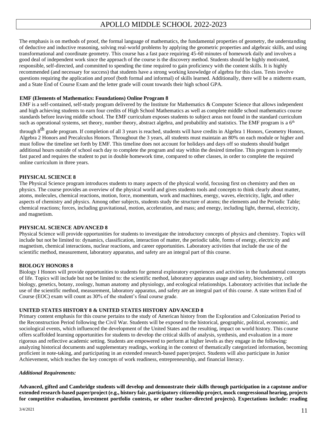The emphasis is on methods of proof, the formal language of mathematics, the fundamental properties of geometry, the understanding of deductive and inductive reasoning, solving real-world problems by applying the geometric properties and algebraic skills, and using transformational and coordinate geometry. This course has a fast pace requiring 45-60 minutes of homework daily and involves a good deal of independent work since the approach of the course is the discovery method. Students should be highly motivated, responsible, self-directed, and committed to spending the time required to gain proficiency with the content skills. It is highly recommended (and necessary for success) that students have a strong working knowledge of algebra for this class. Tests involve questions requiring the application and proof (both formal and informal) of skills learned. Additionally, there will be a midterm exam, and a State End of Course Exam and the letter grade will count towards their high school GPA.

#### **EMF (Elements of Mathematics: Foundations) Online Program 8**

EMF is a self-contained, self-study program delivered by the Institute for Mathematics & Computer Science that allows independent and high achieving students to earn four credits of High School Mathematics as well as complete middle school mathematics course standards before leaving middle school. The EMF curriculum exposes students to subject areas not found in the standard curriculum such as operational systems, set theory, number theory, abstract algebra, and probability and statistics. The EMF program is a  $6<sup>th</sup>$ 

through 8<sup>th</sup> grade program. If completion of all 3 years is reached, students will have credits in Algebra 1 Honors, Geometry Honors, Algebra 2 Honors and Precalculus Honors. Throughout the 3 years, all students must maintain an 80% on each module or higher and must follow the timeline set forth by EMF. This timeline does not account for holidays and days off so students should budget additional hours outside of school each day to complete the program and stay within the desired timeline. This program is extremely fast paced and requires the student to put in double homework time, compared to other classes, in order to complete the required online curriculum in three years.

#### **PHYSICAL SCIENCE 8**

The Physical Science program introduces students to many aspects of the physical world, focusing first on chemistry and then on physics. The course provides an overview of the physical world and gives students tools and concepts to think clearly about matter, atoms, molecules, chemical reactions, motion, force, momentum, work and machines, energy, waves, electricity, light, and other aspects of chemistry and physics. Among other subjects, students study the structure of atoms; the elements and the Periodic Table; chemical reactions; forces, including gravitational, motion, acceleration, and mass; and energy, including light, thermal, electricity, and magnetism.

#### **PHYSICAL SCIENCE ADVANCED 8**

Physical Science will provide opportunities for students to investigate the introductory concepts of physics and chemistry. Topics will include but not be limited to: dynamics, classification, interaction of matter, the periodic table, forms of energy, electricity and magnetism, chemical interactions, nuclear reactions, and career opportunities. Laboratory activities that include the use of the scientific method, measurement, laboratory apparatus, and safety are an integral part of this course.

#### **BIOLOGY HONORS 8**

Biology I Honors will provide opportunities to students for general exploratory experiences and activities in the fundamental concepts of life. Topics will include but not be limited to: the scientific method, laboratory apparatus usage and safety, biochemistry, cell biology, genetics, botany, zoology, human anatomy and physiology, and ecological relationships. Laboratory activities that include the use of the scientific method, measurement, laboratory apparatus, and safety are an integral part of this course. A state written End of Course (EOC) exam will count as 30% of the student's final course grade.

#### **UNITED STATES HISTORY 8 & UNITED STATES HISTORY ADVANCED 8**

Primary content emphasis for this course pertains to the study of American history from the Exploration and Colonization Period to the Reconstruction Period following the Civil War. Students will be exposed to the historical, geographic, political, economic, and sociological events, which influenced the development of the United States and the resulting, impact on world history. This course offers scaffolded learning opportunities for students to develop the critical skills of analysis, synthesis, and evaluation in a more rigorous and reflective academic setting. Students are empowered to perform at higher levels as they engage in the following: analyzing historical documents and supplementary readings, working in the context of thematically categorized information, becoming proficient in note-taking, and participating in an extended research-based paper/project. Students will also participate in Junior Achievement, which teaches the key concepts of work readiness, entrepreneurship, and financial literacy.

#### *Additional Requirements:*

**Advanced, gifted and Cambridge students will develop and demonstrate their skills through participation in a capstone and/or extended research-based paper/project (e.g., history fair, participatory citizenship project, mock congressional hearing, projects for competitive evaluation, investment portfolio contests, or other teacher-directed projects). Expectations include: reading**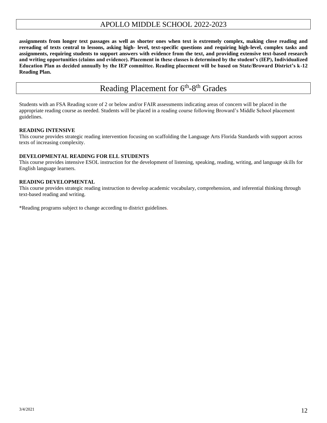**assignments from longer text passages as well as shorter ones when text is extremely complex, making close reading and rereading of texts central to lessons, asking high- level, text-specific questions and requiring high-level, complex tasks and assignments, requiring students to support answers with evidence from the text, and providing extensive text-based research and writing opportunities (claims and evidence). Placement in these classes is determined by the student's (IEP), Individualized Education Plan as decided annually by the IEP committee. Reading placement will be based on State/Broward District's k-12 Reading Plan.** 

# Reading Placement for 6<sup>th</sup>-8<sup>th</sup> Grades

Students with an FSA Reading score of 2 or below and/or FAIR assessments indicating areas of concern will be placed in the appropriate reading course as needed. Students will be placed in a reading course following Broward's Middle School placement guidelines.

#### **READING INTENSIVE**

This course provides strategic reading intervention focusing on scaffolding the Language Arts Florida Standards with support across texts of increasing complexity.

#### **DEVELOPMENTAL READING FOR ELL STUDENTS**

This course provides intensive ESOL instruction for the development of listening, speaking, reading, writing, and language skills for English language learners.

#### **READING DEVELOPMENTAL**

This course provides strategic reading instruction to develop academic vocabulary, comprehension, and inferential thinking through text-based reading and writing.

\*Reading programs subject to change according to district guidelines.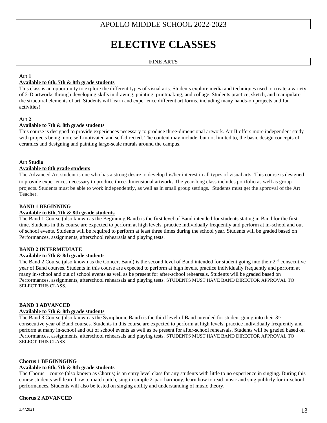# **ELECTIVE CLASSES**

#### **FINE ARTS**

#### **Art 1**

#### **Available to 6th, 7th & 8th grade students**

This class is an opportunity to explore the different types of visual arts. Students explore media and techniques used to create a variety of 2-D artworks through developing skills in drawing, painting, printmaking, and collage. Students practice, sketch, and manipulate the structural elements of art. Students will learn and experience different art forms, including many hands-on projects and fun activities!

#### **Art 2**

#### **Available to 7th & 8th grade students**

This course is designed to provide experiences necessary to produce three-dimensional artwork. Art II offers more independent study with projects being more self-motivated and self-directed. The content may include, but not limited to, the basic design concepts of ceramics and designing and painting large-scale murals around the campus.

#### **Art Studio**

#### **Available to 8th grade students**

The Advanced Art student is one who has a strong desire to develop his/her interest in all types of visual arts. This course is designed to provide experiences necessary to produce three-dimensional artwork. The year-long class includes portfolio as well as group projects. Students must be able to work independently, as well as in small group settings. Students must get the approval of the Art Teacher.

#### **BAND 1 BEGINNING**

#### **Available to 6th, 7th & 8th grade students**

The Band 1 Course (also known as the Beginning Band) is the first level of Band intended for students stating in Band for the first time. Students in this course are expected to perform at high levels, practice individually frequently and perform at in-school and out of school events. Students will be required to perform at least three times during the school year. Students will be graded based on Performances, assignments, afterschool rehearsals and playing tests.

#### **BAND 2 INTERMEDIATE**

#### **Available to 7th & 8th grade students**

The Band 2 Course (also known as the Concert Band) is the second level of Band intended for student going into their  $2<sup>nd</sup>$  consecutive year of Band courses. Students in this course are expected to perform at high levels, practice individually frequently and perform at many in-school and out of school events as well as be present for after-school rehearsals. Students will be graded based on Performances, assignments, afterschool rehearsals and playing tests. STUDENTS MUST HAVE BAND DIRECTOR APPROVAL TO SELECT THIS CLASS.

#### **BAND 3 ADVANCED**

#### **Available to 7th & 8th grade students**

The Band 3 Course (also known as the Symphonic Band) is the third level of Band intended for student going into their  $3<sup>rd</sup>$ consecutive year of Band courses. Students in this course are expected to perform at high levels, practice individually frequently and perform at many in-school and out of school events as well as be present for after-school rehearsals. Students will be graded based on Performances, assignments, afterschool rehearsals and playing tests. STUDENTS MUST HAVE BAND DIRECTOR APPROVAL TO SELECT THIS CLASS.

#### **Chorus 1 BEGINNGING**

#### **Available to 6th, 7th & 8th grade students**

The Chorus 1 course (also known as Chorus) is an entry level class for any students with little to no experience in singing. During this course students will learn how to match pitch, sing in simple 2-part harmony, learn how to read music and sing publicly for in-school performances. Students will also be tested on singing ability and understanding of music theory.

#### **Chorus 2 ADVANCED**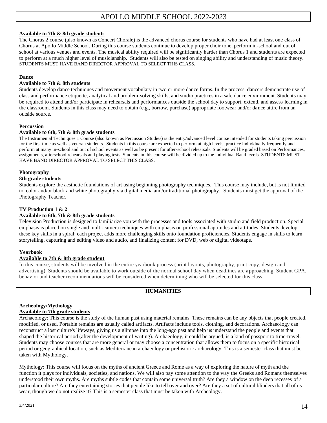#### **Available to 7th & 8th grade students**

The Chorus 2 course (also known as Concert Chorale) is the advanced chorus course for students who have had at least one class of Chorus at Apollo Middle School. During this course students continue to develop proper choir tone, perform in-school and out of school at various venues and events. The musical ability required will be significantly harder than Chorus 1 and students are expected to perform at a much higher level of musicianship. Students will also be tested on singing ability and understanding of music theory. STUDENTS MUST HAVE BAND DIRECTOR APPROVAL TO SELECT THIS CLASS.

#### **Dance**

#### **Available to 7th & 8th students**

Students develop dance techniques and movement vocabulary in two or more dance forms. In the process, dancers demonstrate use of class and performance etiquette, analytical and problem-solving skills, and studio practices in a safe dance environment. Students may be required to attend and/or participate in rehearsals and performances outside the school day to support, extend, and assess learning in the classroom. Students in this class may need to obtain (e.g., borrow, purchase) appropriate footwear and/or dance attire from an outside source.

#### **Percussion**

#### **Available to 6th, 7th & 8th grade students**

The Instrumental Techniques 1 Course (also known as Percussion Studies) is the entry/advanced level course intended for students taking percussion for the first time as well as veteran students. Students in this course are expected to perform at high levels, practice individually frequently and perform at many in-school and out of school events as well as be present for after-school rehearsals. Students will be graded based on Performances, assignments, afterschool rehearsals and playing tests. Students in this course will be divided up to the individual Band levels. STUDENTS MUST HAVE BAND DIRECTOR APPROVAL TO SELECT THIS CLASS.

#### **Photography**

#### **8th grade students**

Students explore the aesthetic foundations of art using beginning photography techniques. This course may include, but is not limited to, color and/or black and white photography via digital media and/or traditional photography. Students must get the approval of the Photography Teacher.

#### **TV Production 1 & 2**

#### **Available to 6th, 7th & 8th grade students**

Television Production is designed to familiarize you with the processes and tools associated with studio and field production. Special emphasis is placed on single and multi-camera techniques with emphasis on professional aptitudes and attitudes. Students develop these key skills in a spiral; each project adds more challenging skills onto foundation proficiencies. Students engage in skills to learn storytelling, capturing and editing video and audio, and finalizing content for DVD, web or digital videotape.

#### **Yearbook**

#### **Available to 7th & 8th grade student**

In this course, students will be involved in the entire yearbook process (print layouts, photography, print copy, design and advertising). Students should be available to work outside of the normal school day when deadlines are approaching. Student GPA, behavior and teacher recommendations will be considered when determining who will be selected for this class.

#### **HUMANITIES**

#### **Archeology/Mythology**

#### **Available to 7th grade students**

Archaeology: This course is the study of the human past using material remains. These remains can be any objects that people created, modified, or used. Portable remains are usually called artifacts. Artifacts include tools, clothing, and decorations. Archaeology can reconstruct a lost culture's lifeways, giving us a glimpse into the long-ago past and help us understand the people and events that shaped the historical period (after the development of writing). Archaeology, it could be argued, is a kind of passport to time-travel. Students may choose courses that are more general or may choose a concentration that allows them to focus on a specific historical period or geographical location, such as Mediterranean archaeology or prehistoric archaeology. This is a semester class that must be taken with Mythology.

Mythology: This course will focus on the myths of ancient Greece and Rome as a way of exploring the nature of myth and the function it plays for individuals, societies, and nations. We will also pay some attention to the way the Greeks and Romans themselves understood their own myths. Are myths subtle codes that contain some universal truth? Are they a window on the deep recesses of a particular culture? Are they entertaining stories that people like to tell over and over? Are they a set of cultural blinders that all of us wear, though we do not realize it? This is a semester class that must be taken with Archeology.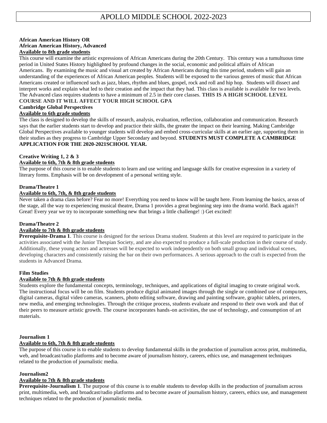#### **African American History OR African American History, Advanced Available to 8th grade students**

This course will examine the artistic expressions of African Americans during the 20th Century. This century was a tumultuous time period in United States History highlighted by profound changes in the social, economic and political affairs of African Americans. By examining the music and visual art created by African Americans during this time period, students will gain an understanding of the experiences of African American peoples. Students will be exposed to the various genres of music that African Americans created or influenced such as jazz, blues, rhythm and blues, gospel, rock and roll and hip hop. Students will dissect and interpret works and explain what led to their creation and the impact that they had. This class is available is available for two levels. The Advanced class requires students to have a minimum of 2.5 in their core classes. **THIS IS A HIGH SCHOOL LEVEL** 

#### **COURSE AND IT WILL AFFECT YOUR HIGH SCHOOL GPA**

#### **Cambridge Global Perspectives**

#### **Available to 6th grade students**

The class is designed to develop the skills of research, analysis, evaluation, reflection, collaboration and communication. Research says that the earlier students start to develop and practice their skills, the greater the impact on their learning. Making Cambridge Global Perspectives available to younger students will develop and embed cross-curricular skills at an earlier age, supporting them in their studies as they progress to Cambridge Upper Secondary and beyond. **STUDENTS MUST COMPLETE A CAMBRIDGE APPLICATION FOR THE 2020-2021SCHOOL YEAR.**

#### **Creative Writing 1, 2 & 3**

#### **Available to 6th, 7th & 8th grade students**

The purpose of this course is to enable students to learn and use writing and language skills for creative expression in a variety of literary forms. Emphasis will be on development of a personal writing style.

#### **Drama/Theatre 1**

#### **Available to 6th, 7th, & 8th grade students**

Never taken a drama class before? Fear no more! Everything you need to know will be taught here. From learning the basics, areas of the stage, all the way to experiencing musical theatre, Drama 1 provides a great beginning step into the drama world. Back again?! Great! Every year we try to incorporate something new that brings a little challenge! :) Get excited!

#### **Drama/Theatre 2**

#### **Available to 7th & 8th grade students**

**Prerequisite-Drama 1**. This course is designed for the serious Drama student. Students at this level are required to participate in the activities associated with the Junior Thespian Society, and are also expected to produce a full-scale production in their course of study. Additionally, these young actors and actresses will be expected to work independently on both small group and individual scenes, developing characters and consistently raising the bar on their own performances. A serious approach to the craft is expected from the students in Advanced Drama.

#### **Film Studies**

#### **Available to 7th & 8th grade students**

Students explore the fundamental concepts, terminology, techniques, and applications of digital imaging to create original wo rk. The instructional focus will be on film. Students produce digital animated images through the single or combined use of compu ters, digital cameras, digital video cameras, scanners, photo editing software, drawing and painting software, graphic tablets, printers, new media, and emerging technologies. Through the critique process, students evaluate and respond to their own work and that of their peers to measure artistic growth. The course incorporates hands-on activities, the use of technology, and consumption of art materials.

#### **Journalism 1**

#### **Available to 6th, 7th & 8th grade students**

The purpose of this course is to enable students to develop fundamental skills in the production of journalism across print, multimedia, web, and broadcast/radio platforms and to become aware of journalism history, careers, ethics use, and management techniques related to the production of journalistic media.

#### **Journalism2**

#### **Available to 7th & 8th grade students**

**Prerequisite-Journalism 1**. The purpose of this course is to enable students to develop skills in the production of journalism across print, multimedia, web, and broadcast/radio platforms and to become aware of journalism history, careers, ethics use, and management techniques related to the production of journalistic media.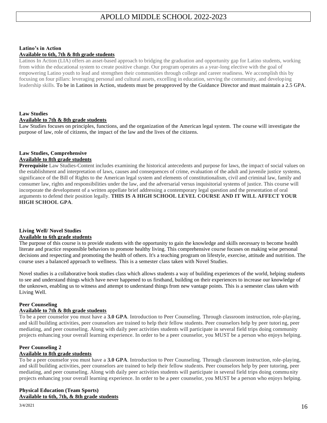#### **Latino's in Action**

#### **Available to 6th, 7th & 8th grade students**

Latinos In Action (LIA) offers an asset-based approach to bridging the graduation and opportunity gap for Latino students, working from within the educational system to create positive change. Our program operates as a year-long elective with the goal of empowering Latino youth to lead and strengthen their communities through college and career readiness. We accomplish this by focusing on four pillars: leveraging personal and cultural assets, excelling in education, serving the community, and developing leadership skills. To be in Latinos in Action, students must be preapproved by the Guidance Director and must maintain a 2.5 GPA.

#### **Law Studies**

#### **Available to 7th & 8th grade students**

Law Studies focuses on principles, functions, and the organization of the American legal system. The course will investigate the purpose of law, role of citizens, the impact of the law and the lives of the citizens.

#### **Law Studies, Comprehensive Available to 8th grade students**

**Prerequisite** Law Studies-Content includes examining the historical antecedents and purpose for laws, the impact of social values on the establishment and interpretation of laws, causes and consequences of crime, evaluation of the adult and juvenile justice systems, significance of the Bill of Rights to the American legal system and elements of constitutionalism, civil and criminal law, family and consumer law, rights and responsibilities under the law, and the adversarial versus inquisitorial systems of justice. This course will incorporate the development of a written appellate brief addressing a contemporary legal question and the presentation of oral arguments to defend their position legally. **THIS IS A HIGH SCHOOL LEVEL COURSE AND IT WILL AFFECT YOUR HIGH SCHOOL GPA**.

#### **Living Well/ Novel Studies Available to 6th grade students**

The purpose of this course is to provide students with the opportunity to gain the knowledge and skills necessary to become health literate and practice responsible behaviors to promote healthy living. This comprehensive course focuses on making wise personal decisions and respecting and promoting the health of others. It's a teaching program on lifestyle, exercise, attitude and nutrition. The course uses a balanced approach to wellness. This is a semester class taken with Novel Studies.

Novel studies is a collaborative book studies class which allows students a way of building experiences of the world, helping students to see and understand things which have never happened to us firsthand, building on their experiences to increase our knowledge of the unknown, enabling us to witness and attempt to understand things from new vantage points. This is a semester class taken with Living Well.

#### **Peer Counseling**

#### **Available to 7th & 8th grade students**

To be a peer counselor you must have a **3.0 GPA**. Introduction to Peer Counseling. Through classroom instruction, role-playing, and skill building activities, peer counselors are trained to help their fellow students. Peer counselors help by peer tutori ng, peer mediating, and peer counseling. Along with daily peer activities students will participate in several field trips doing community projects enhancing your overall learning experience. In order to be a peer counselor, you MUST be a person who enjoys helping.

#### **Peer Counseling 2**

#### **Available to 8th grade students**

To be a peer counselor you must have a **3.0 GPA**. Introduction to Peer Counseling. Through classroom instruction, role-playing, and skill building activities, peer counselors are trained to help their fellow students. Peer counselors help by peer tutoring, peer mediating, and peer counseling. Along with daily peer activities students will participate in several field trips doing commu nity projects enhancing your overall learning experience. In order to be a peer counselor, you MUST be a person who enjoys helping.

#### **Physical Education (Team Sports) Available to 6th, 7th, & 8th grade students**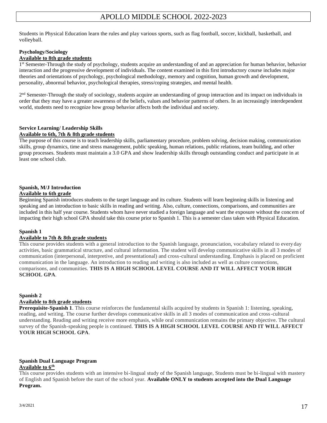Students in Physical Education learn the rules and play various sports, such as flag football, soccer, kickball, basketball, and volleyball.

## **Psychology/Sociology**

#### **Available to 8th grade students**

1<sup>st</sup> Semester-Through the study of psychology, students acquire an understanding of and an appreciation for human behavior, behavior interaction and the progressive development of individuals. The content examined in this first introductory course includes major theories and orientations of psychology, psychological methodology, memory and cognition, human growth and development, personality, abnormal behavior, psychological therapies, stress/coping strategies, and mental health.

2<sup>nd</sup> Semester-Through the study of sociology, students acquire an understanding of group interaction and its impact on individuals in order that they may have a greater awareness of the beliefs, values and behavior patterns of others. In an increasingly interdependent world, students need to recognize how group behavior affects both the individual and society.

#### **Service Learning/ Leadership Skills Available to 6th, 7th & 8th grade students**

The purpose of this course is to teach leadership skills, parliamentary procedure, problem solving, decision making, communication skills, group dynamics, time and stress management, public speaking, human relations, public relations, team building, and other group processes. Students must maintain a 3.0 GPA and show leadership skills through outstanding conduct and participate in at least one school club.

#### **Spanish, M/J Introduction**

#### **Available to 6th grade**

Beginning Spanish introduces students to the target language and its culture. Students will learn beginning skills in listening and speaking and an introduction to basic skills in reading and writing. Also, culture, connections, comparisons, and communities are included in this half year course. Students whom have never studied a foreign language and want the exposure without the concern of impacting their high school GPA should take this course prior to Spanish 1. This is a semester class taken with Physical Education.

#### **Spanish 1**

#### **Available to 7th & 8th grade students**

This course provides students with a general introduction to the Spanish language, pronunciation, vocabulary related to every day activities, basic grammatical structure, and cultural information. The student will develop communicative skills in all 3 modes of communication (interpersonal, interpretive, and presentational) and cross-cultural understanding. Emphasis is placed on proficient communication in the language. An introduction to reading and writing is also included as well as culture connections, comparisons, and communities. **THIS IS A HIGH SCHOOL LEVEL COURSE AND IT WILL AFFECT YOUR HIGH SCHOOL GPA**.

#### **Spanish 2**

#### **Available to 8th grade students**

**Prerequisite-Spanish 1**. This course reinforces the fundamental skills acquired by students in Spanish 1: listening, speaking, reading, and writing. The course further develops communicative skills in all 3 modes of communication and cross-cultural understanding. Reading and writing receive more emphasis, while oral communication remains the primary objective. The cultural survey of the Spanish-speaking people is continued. **THIS IS A HIGH SCHOOL LEVEL COURSE AND IT WILL AFFECT YOUR HIGH SCHOOL GPA**.

#### **Spanish Dual Language Program Available to 6th**

This course provides students with an intensive bi-lingual study of the Spanish language, Students must be bi-lingual with mastery of English and Spanish before the start of the school year. **Available ONLY to students accepted into the Dual Language Program.**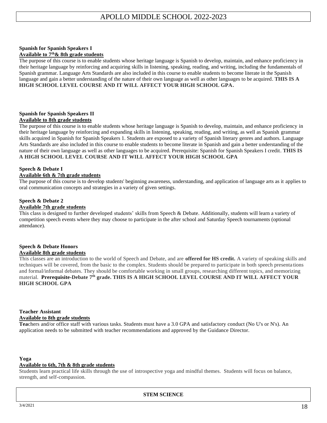#### **Spanish for Spanish Speakers I**

#### **Available to 7 th& 8th grade students**

The purpose of this course is to enable students whose heritage language is Spanish to develop, maintain, and enhance proficiency in their heritage language by reinforcing and acquiring skills in listening, speaking, reading, and writing, including the fundamentals of Spanish grammar. Language Arts Standards are also included in this course to enable students to become literate in the Spanish language and gain a better understanding of the nature of their own language as well as other languages to be acquired. **THIS IS A HIGH SCHOOL LEVEL COURSE AND IT WILL AFFECT YOUR HIGH SCHOOL GPA.**

#### **Spanish for Spanish Speakers II Available to 8th grade students**

The purpose of this course is to enable students whose heritage language is Spanish to develop, maintain, and enhance proficiency in their heritage language by reinforcing and expanding skills in listening, speaking, reading, and writing, as well as Spanish grammar skills acquired in Spanish for Spanish Speakers 1. Students are exposed to a variety of Spanish literary genres and authors. Language Arts Standards are also included in this course to enable students to become literate in Spanish and gain a better understanding of the nature of their own language as well as other languages to be acquired. Prerequisite: Spanish for Spanish Speakers I credit. **THIS IS A HIGH SCHOOL LEVEL COURSE AND IT WILL AFFECT YOUR HIGH SCHOOL GPA**

#### **Speech & Debate I**

#### **Available 6th & 7th grade students**

The purpose of this course is to develop students' beginning awareness, understanding, and application of language arts as it applies to oral communication concepts and strategies in a variety of given settings.

#### **Speech & Debate 2 Available 7th grade students**

This class is designed to further developed students' skills from Speech & Debate. Additionally, students will learn a variety of competition speech events where they may choose to participate in the after school and Saturday Speech tournaments (optional attendance).

#### **Speech & Debate Honors Available 8th grade students**

This classes are an introduction to the world of Speech and Debate, and are **offered for HS credit.** A variety of speaking skills and techniques will be covered, from the basic to the complex. Students should be prepared to participate in both speech presenta tions and formal/informal debates. They should be comfortable working in small groups, researching different topics, and memorizing material. **Prerequisite-Debate 7 th grade. THIS IS A HIGH SCHOOL LEVEL COURSE AND IT WILL AFFECT YOUR HIGH SCHOOL GPA**

#### **Teacher Assistant Available to 8th grade students**

**Tea**chers and/or office staff with various tasks. Students must have a 3.0 GPA and satisfactory conduct (No U's or N's). An application needs to be submitted with teacher recommendations and approved by the Guidance Director.

#### **Yoga**

#### **Available to 6th, 7th & 8th grade students**

Students learn practical life skills through the use of introspective yoga and mindful themes. Students will focus on balance, strength, and self-compassion.

**STEM SCIENCE**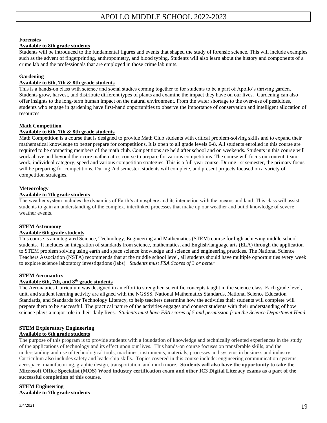#### **Forensics**

#### **Available to 8th grade students**

Students will be introduced to the fundamental figures and events that shaped the study of forensic science. This will include examples such as the advent of fingerprinting, anthropometry, and blood typing. Students will also learn about the history and components of a crime lab and the professionals that are employed in those crime lab units.

#### **Gardening**

#### **Available to 6th, 7th & 8th grade students**

This is a hands-on class with science and social studies coming together to for students to be a part of Apollo's thriving garden. Students grow, harvest, and distribute different types of plants and examine the impact they have on our lives. Gardening can also offer insights to the long-term human impact on the natural environment. From the water shortage to the over-use of pesticides, students who engage in gardening have first-hand opportunities to observe the importance of conservation and intelligent allocation of resources.

#### **Math Competition**

#### **Available to 6th, 7th & 8th grade students**

Math Competition is a course that is designed to provide Math Club students with critical problem-solving skills and to expand their mathematical knowledge to better prepare for competitions. It is open to all grade levels 6-8. All students enrolled in this course are required to be competing members of the math club. Competitions are held after school and on weekends. Students in this course will work above and beyond their core mathematics course to prepare for various competitions. The course will focus on content, teamwork, individual category, speed and various competition strategies. This is a full year course. During 1st semester, the primary focus will be preparing for competitions. During 2nd semester, students will complete, and present projects focused on a variety of competition strategies.

#### **Meteorology**

#### **Available to 7th grade students**

The weather system includes the dynamics of Earth's atmosphere and its interaction with the oceans and land. This class will assist students to gain an understanding of the complex, interlinked processes that make up our weather and build knowledge of severe weather events.

#### **STEM Astronomy**

#### **Available 6th grade students**

This course is an integrated Science, Technology, Engineering and Mathematics (STEM) course for high achieving middle school students. It includes an integration of standards from science, mathematics, and English/language arts (ELA) through the application to STEM problem solving using earth and space science knowledge and science and engineering practices. The National Science Teachers Association (NSTA) recommends that at the middle school level, all students should have multiple opportunities every week to explore science laboratory investigations (labs). *Students must FSA Scores of 3 or better*

#### **STEM Aeronautics**

#### **Available 6th, 7th, and 8th grade students**

The Aeronautics Curriculum was designed in an effort to strengthen scientific concepts taught in the science class. Each grade level, unit, and student learning activity are aligned with the NGSSS, National Mathematics Standards, National Science Education Standards, and Standards for Technology Literacy, to help teachers determine how the activities their students will complete will prepare them to be successful. The practical nature of the activities engages and connect students with their understanding of how science plays a major role in their daily lives. *Students must have FSA scores of 5 and permission from the Science Department Head.*

## **STEM Exploratory Engineering**

#### **Available to 6th grade students**

The purpose of this program is to provide students with a foundation of knowledge and technically oriented experiences in the study of the applications of technology and its effect upon our lives. This hands-on course focuses on transferable skills, and the understanding and use of technological tools, machines, instruments, materials, processes and systems in business and industry. Curriculum also includes safety and leadership skills. Topics covered in this course include: engineering communication systems, aerospace, manufacturing, graphic design, transportation, and much more. **Students will also have the opportunity to take the Microsoft Office Specialist (MOS) Word industry certification exam and other IC3 Digital Literacy exams as a part of the successful completion of this course.**

#### **STEM Engineering Available to 7th grade students**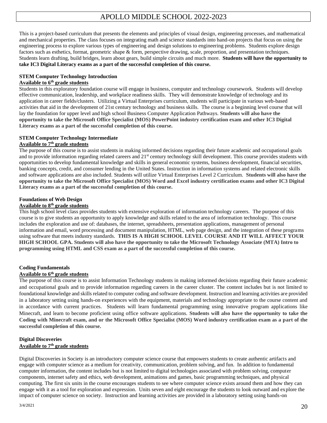This is a project-based curriculum that presents the elements and principles of visual design, engineering processes, and mathematical and mechanical properties. The class focuses on integrating math and science standards into hand-on projects that focus on using the engineering process to explore various types of engineering and design solutions to engineering problems. Students explore design factors such as esthetics, format, geometric shape & form, perspective drawing, scale, proportion, and presentation techniques. Students learn drafting, build bridges, learn about gears, build simple circuits and much more. **Students will have the opportunity to take IC3 Digital Literacy exams as a part of the successful completion of this course.**

#### **STEM Computer Technology Introduction**

#### **Available to 6th grade students**

Students in this exploratory foundation course will engage in business, computer and technology coursework. Students will develop effective communication, leadership, and workplace readiness skills. They will demonstrate knowledge of technology and its application in career fields/clusters. Utilizing a Virtual Enterprises curriculum, students will participate in various web-based activities that aid in the development of 21st century technology and business skills. The course is a beginning level course that will lay the foundation for upper level and high school Business Computer Application Pathways. **Students will also have the opportunity to take the Microsoft Office Specialist (MOS) PowerPoint industry certification exam and other IC3 Digital Literacy exams as a part of the successful completion of this course.**

#### **STEM Computer Technology Intermediate Available to 7th grade students**

The purpose of this course is to assist students in making informed decisions regarding their future academic and occupational goals and to provide information regarding related careers and  $21<sup>st</sup>$  century technology skill development. This course provides students with opportunities to develop fundamental knowledge and skills in general economic systems, business development, financial securities, banking concepts, credit, and consumer lending in the United States. Instruction in information systems and related electronic skills and software applications are also included. Students will utilize Virtual Enterprises Level 2 Curriculum. **Students will also have the opportunity to take the Microsoft Office Specialist (MOS) Word and Excel industry certification exams and other IC3 Digital Literacy exams as a part of the successful completion of this course.**

#### **Foundations of Web Design**

#### **Available to 8th grade students**

This high school level class provides students with extensive exploration of information technology careers. The purpose of this course is to give students an opportunity to apply knowledge and skills related to the area of information technology. This course includes the exploration and use of: databases, the internet, spreadsheets, presentation applications, management of personal information and email, word processing and document manipulation, HTML, web page design, and the integration of these programs using software that meets industry standards. **THIS IS A HIGH SCHOOL LEVEL COURSE AND IT WILL AFFECT YOUR HIGH SCHOOL GPA. Students will also have the opportunity to take the Microsoft Technology Associate (MTA) Intro to programming using HTML and CSS exam as a part of the successful completion of this course.**

#### **Coding Fundamentals**

#### **Available to 6th grade students**

The purpose of this course is to assist Information Technology students in making informed decisions regarding their future academic and occupational goals and to provide information regarding careers in the career cluster. The content includes but is not limited to foundational knowledge and skills related to computer coding and software development. Instruction and learning activities are provided in a laboratory setting using hands-on experiences with the equipment, materials and technology appropriate to the course content and in accordance with current practices. Students will learn fundamental programming using innovative program applications like Minecraft, and learn to become proficient using office software applications. **Students will also have the opportunity to take the Coding with Minecraft exam, and or the Microsoft Office Specialist (MOS) Word industry certification exam as a part of the successful completion of this course.**

#### **Digital Discoveries Available to 7th grade students**

Digital Discoveries in Society is an introductory computer science course that empowers students to create authentic artifacts and engage with computer science as a medium for creativity, communication, problem solving, and fun. In addition to fundamental computer information, the content includes but is not limited to digital technologies associated with problem solving, computer components, internet safety and ethics, web development, animations and games, basic programming techniques, and physical computing. The first six units in the course encourages students to see where computer science exists around them and how they can engage with it as a tool for exploration and expression. Units seven and eight encourage the students to look outward and explore the impact of computer science on society. Instruction and learning activities are provided in a laboratory setting using hands-on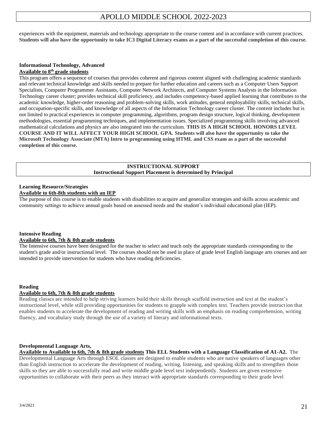experiences with the equipment, materials and technology appropriate to the course content and in accordance with current practices. **Students will also have the opportunity to take IC3 Digital Literacy exams as a part of the successful completion of this course.**

#### **Informational Technology, Advanced Available to 8th grade students**

This program offers a sequence of courses that provides coherent and rigorous content aligned with challenging academic standards and relevant technical knowledge and skills needed to prepare for further education and careers such as a Computer Users Support Specialists, Computer Programmer Assistants, Computer Network Architects, and Computer Systems Analysts in the Information Technology career cluster; provides technical skill proficiency, and includes competency-based applied learning that contributes to the academic knowledge, higher-order reasoning and problem-solving skills, work attitudes, general employability skills, technical skills, and occupation-specific skills, and knowledge of all aspects of the Information Technology career cluster. The content includes but is not limited to practical experiences in computer programming, algorithms, program design structure, logical thinking, development methodologies, essential programming techniques, and implementation issues. Specialized programming skills involving advanced mathematical calculations and physics are also integrated into the curriculum. **THIS IS A HIGH SCHOOL HONORS LEVEL COURSE AND IT WILL AFFECT YOUR HIGH SCHOOL GPA. Students will also have the opportunity to take the Microsoft Technology Associate (MTA) Intro to programming using HTML and CSS exam as a part of the successful completion of this course.**

#### **INSTRUCTIONAL SUPPORT Instructional Support Placement is determined by Principal**

#### **Learning Resource/Strategies Available to 6th-8th students with an IEP**

The purpose of this course is to enable students with disabilities to acquire and generalize strategies and skills across academic and community settings to achieve annual goals based on assessed needs and the student's individual educational plan (IEP).

#### **Intensive Reading Available to 6th, 7th & 8th grade students**

The Intensive courses have been designed for the teacher to select and teach only the appropriate standards corresponding to the student's grade and/or instructional level. The courses should not be used in place of grade level English language arts courses and are intended to provide intervention for students who have reading deficiencies.

#### **Reading**

#### **Available to 6th, 7th & 8th grade students**

Reading classes are intended to help striving learners build their skills through scaffold instruction and text at the student's instructional level, while still providing opportunities for students to grapple with complex text. Teachers provide instruction that enables students to accelerate the development of reading and writing skills with an emphasis on reading comprehension, writing fluency, and vocabulary study through the use of a variety of literary and informational texts.

#### **Developmental Language Arts,**

**Available to Available to 6th, 7th & 8th grade students This ELL Students with a Language Classification of A1-A2.** The Developmental Language Arts through ESOL classes are designed to enable students who are native speakers of languages other than English instruction to accelerate the development of reading, writing, listening, and speaking skills and to strengthen those skills so they are able to successfully read and write middle grade level text independently. Students are given extensive opportunities to collaborate with their peers as they interact with appropriate standards corresponding to their grade level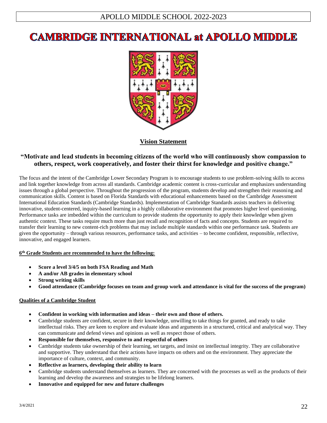# **CAMBRIDGE INTERNATIONAL at APOLLO MIDDLE**



#### **Vision Statement**

## **"Motivate and lead students in becoming citizens of the world who will continuously show compassion to others, respect, work cooperatively, and foster their thirst for knowledge and positive change."**

The focus and the intent of the Cambridge Lower Secondary Program is to encourage students to use problem-solving skills to access and link together knowledge from across all standards. Cambridge academic content is cross-curricular and emphasizes understanding issues through a global perspective. Throughout the progression of the program, students develop and strengthen their reasoning and communication skills. Content is based on Florida Standards with educational enhancements based on the Cambridge Assessment International Education Standards (Cambridge Standards). Implementation of Cambridge Standards assists teachers in delivering innovative, student-centered, inquiry-based learning in a highly collaborative environment that promotes higher level questioning. Performance tasks are imbedded within the curriculum to provide students the opportunity to apply their knowledge when given authentic context. These tasks require much more than just recall and recognition of facts and concepts. Students are required to transfer their learning to new content-rich problems that may include multiple standards within one performance task. Students are given the opportunity – through various resources, performance tasks, and activities – to become confident, responsible, reflective, innovative, and engaged learners.

#### **6 th Grade Students are recommended to have the following:**

- **Score a level 3/4/5 on both FSA Reading and Math**
- **A and/or AB grades in elementary school**
- **Strong writing skills**
- **Good attendance (Cambridge focuses on team and group work and attendance is vital for the success of the program)**

#### **Qualities of a Cambridge Student**

- **Confident in working with information and ideas – their own and those of others.**
- Cambridge students are confident, secure in their knowledge, unwilling to take things for granted, and ready to take intellectual risks. They are keen to explore and evaluate ideas and arguments in a structured, critical and analytical way. They can communicate and defend views and opinions as well as respect those of others.
- **Responsible for themselves, responsive to and respectful of others**
- Cambridge students take ownership of their learning, set targets, and insist on intellectual integrity. They are collaborative and supportive. They understand that their actions have impacts on others and on the environment. They appreciate the importance of culture, context, and community.
- **Reflective as learners, developing their ability to learn**
- Cambridge students understand themselves as learners. They are concerned with the processes as well as the products of their learning and develop the awareness and strategies to be lifelong learners.
- **Innovative and equipped for new and future challenges**